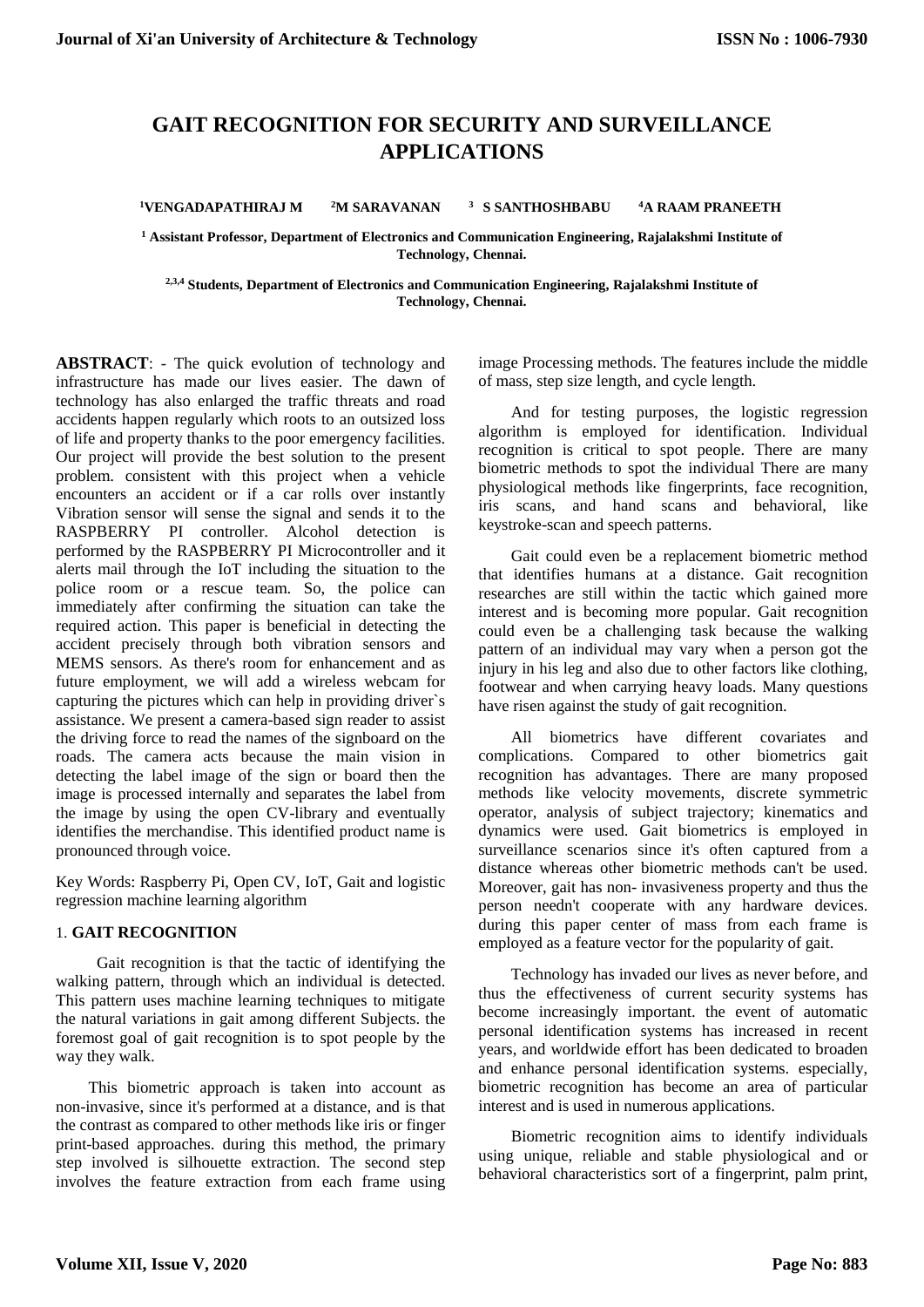# **GAIT RECOGNITION FOR SECURITY AND SURVEILLANCE APPLICATIONS**

**<sup>1</sup>VENGADAPATHIRAJ M <sup>2</sup>M SARAVANAN <sup>3</sup>S SANTHOSHBABU <sup>4</sup>A RAAM PRANEETH**

**<sup>1</sup> Assistant Professor, Department of Electronics and Communication Engineering, Rajalakshmi Institute of Technology, Chennai.**

**2,3,4 Students, Department of Electronics and Communication Engineering, Rajalakshmi Institute of Technology, Chennai.**

**ABSTRACT**: - The quick evolution of technology and infrastructure has made our lives easier. The dawn of technology has also enlarged the traffic threats and road accidents happen regularly which roots to an outsized loss of life and property thanks to the poor emergency facilities. Our project will provide the best solution to the present problem. consistent with this project when a vehicle encounters an accident or if a car rolls over instantly Vibration sensor will sense the signal and sends it to the RASPBERRY PI controller. Alcohol detection is performed by the RASPBERRY PI Microcontroller and it alerts mail through the IoT including the situation to the police room or a rescue team. So, the police can immediately after confirming the situation can take the required action. This paper is beneficial in detecting the accident precisely through both vibration sensors and MEMS sensors. As there's room for enhancement and as future employment, we will add a wireless webcam for capturing the pictures which can help in providing driver`s assistance. We present a camera-based sign reader to assist the driving force to read the names of the signboard on the roads. The camera acts because the main vision in detecting the label image of the sign or board then the image is processed internally and separates the label from the image by using the open CV-library and eventually identifies the merchandise. This identified product name is pronounced through voice.

Key Words: Raspberry Pi, Open CV, IoT, Gait and logistic regression machine learning algorithm

#### 1. **GAIT RECOGNITION**

Gait recognition is that the tactic of identifying the walking pattern, through which an individual is detected. This pattern uses machine learning techniques to mitigate the natural variations in gait among different Subjects. the foremost goal of gait recognition is to spot people by the way they walk.

This biometric approach is taken into account as non-invasive, since it's performed at a distance, and is that the contrast as compared to other methods like iris or finger print-based approaches. during this method, the primary step involved is silhouette extraction. The second step involves the feature extraction from each frame using image Processing methods. The features include the middle of mass, step size length, and cycle length.

And for testing purposes, the logistic regression algorithm is employed for identification. Individual recognition is critical to spot people. There are many biometric methods to spot the individual There are many physiological methods like fingerprints, face recognition, iris scans, and hand scans and behavioral, like keystroke-scan and speech patterns.

Gait could even be a replacement biometric method that identifies humans at a distance. Gait recognition researches are still within the tactic which gained more interest and is becoming more popular. Gait recognition could even be a challenging task because the walking pattern of an individual may vary when a person got the injury in his leg and also due to other factors like clothing, footwear and when carrying heavy loads. Many questions have risen against the study of gait recognition.

All biometrics have different covariates and complications. Compared to other biometrics gait recognition has advantages. There are many proposed methods like velocity movements, discrete symmetric operator, analysis of subject trajectory; kinematics and dynamics were used. Gait biometrics is employed in surveillance scenarios since it's often captured from a distance whereas other biometric methods can't be used. Moreover, gait has non- invasiveness property and thus the person needn't cooperate with any hardware devices. during this paper center of mass from each frame is employed as a feature vector for the popularity of gait.

Technology has invaded our lives as never before, and thus the effectiveness of current security systems has become increasingly important. the event of automatic personal identification systems has increased in recent years, and worldwide effort has been dedicated to broaden and enhance personal identification systems. especially, biometric recognition has become an area of particular interest and is used in numerous applications.

Biometric recognition aims to identify individuals using unique, reliable and stable physiological and or behavioral characteristics sort of a fingerprint, palm print,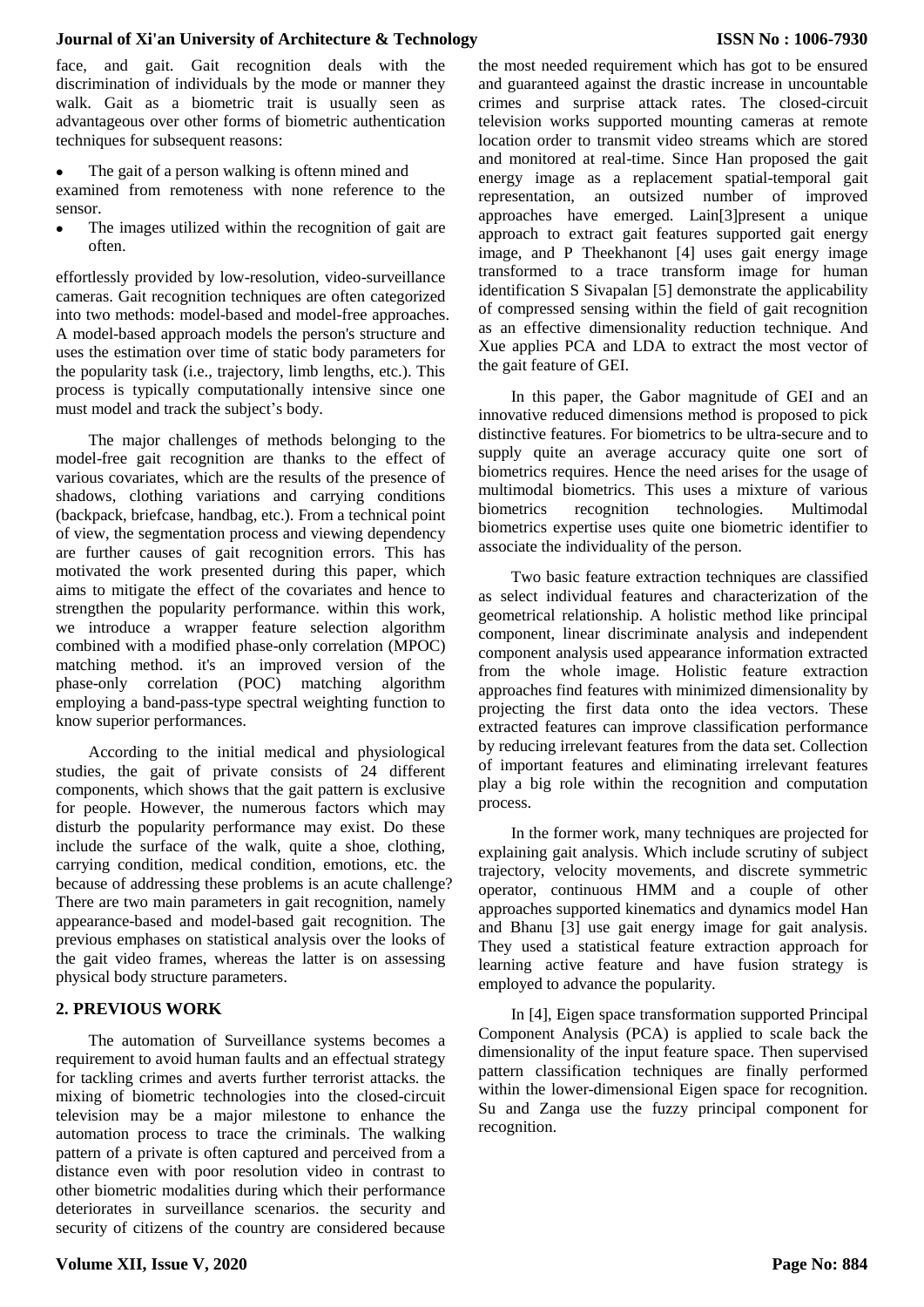#### **Journal of Xi'an University of Architecture & Technology**

face, and gait. Gait recognition deals with the discrimination of individuals by the mode or manner they walk. Gait as a biometric trait is usually seen as advantageous over other forms of biometric authentication techniques for subsequent reasons:

The gait of a person walking is oftenn mined and

examined from remoteness with none reference to the sensor.

 The images utilized within the recognition of gait are often.

effortlessly provided by low-resolution, video-surveillance cameras. Gait recognition techniques are often categorized into two methods: model-based and model-free approaches. A model-based approach models the person's structure and uses the estimation over time of static body parameters for the popularity task (i.e., trajectory, limb lengths, etc.). This process is typically computationally intensive since one must model and track the subject's body.

The major challenges of methods belonging to the model-free gait recognition are thanks to the effect of various covariates, which are the results of the presence of shadows, clothing variations and carrying conditions (backpack, briefcase, handbag, etc.). From a technical point of view, the segmentation process and viewing dependency are further causes of gait recognition errors. This has motivated the work presented during this paper, which aims to mitigate the effect of the covariates and hence to strengthen the popularity performance. within this work, we introduce a wrapper feature selection algorithm combined with a modified phase-only correlation (MPOC) matching method. it's an improved version of the phase-only correlation (POC) matching algorithm employing a band-pass-type spectral weighting function to know superior performances.

According to the initial medical and physiological studies, the gait of private consists of 24 different components, which shows that the gait pattern is exclusive for people. However, the numerous factors which may disturb the popularity performance may exist. Do these include the surface of the walk, quite a shoe, clothing, carrying condition, medical condition, emotions, etc. the because of addressing these problems is an acute challenge? There are two main parameters in gait recognition, namely appearance-based and model-based gait recognition. The previous emphases on statistical analysis over the looks of the gait video frames, whereas the latter is on assessing physical body structure parameters.

# **2. PREVIOUS WORK**

The automation of Surveillance systems becomes a requirement to avoid human faults and an effectual strategy for tackling crimes and averts further terrorist attacks. the mixing of biometric technologies into the closed-circuit television may be a major milestone to enhance the automation process to trace the criminals. The walking pattern of a private is often captured and perceived from a distance even with poor resolution video in contrast to other biometric modalities during which their performance deteriorates in surveillance scenarios. the security and security of citizens of the country are considered because

the most needed requirement which has got to be ensured and guaranteed against the drastic increase in uncountable crimes and surprise attack rates. The closed-circuit television works supported mounting cameras at remote location order to transmit video streams which are stored and monitored at real-time. Since Han proposed the gait energy image as a replacement spatial-temporal gait representation, an outsized number of improved approaches have emerged. Lain[3]present a unique approach to extract gait features supported gait energy image, and P Theekhanont [4] uses gait energy image transformed to a trace transform image for human identification S Sivapalan [5] demonstrate the applicability of compressed sensing within the field of gait recognition as an effective dimensionality reduction technique. And Xue applies PCA and LDA to extract the most vector of the gait feature of GEI.

In this paper, the Gabor magnitude of GEI and an innovative reduced dimensions method is proposed to pick distinctive features. For biometrics to be ultra-secure and to supply quite an average accuracy quite one sort of biometrics requires. Hence the need arises for the usage of multimodal biometrics. This uses a mixture of various biometrics recognition technologies. Multimodal biometrics expertise uses quite one biometric identifier to associate the individuality of the person.

Two basic feature extraction techniques are classified as select individual features and characterization of the geometrical relationship. A holistic method like principal component, linear discriminate analysis and independent component analysis used appearance information extracted from the whole image. Holistic feature extraction approaches find features with minimized dimensionality by projecting the first data onto the idea vectors. These extracted features can improve classification performance by reducing irrelevant features from the data set. Collection of important features and eliminating irrelevant features play a big role within the recognition and computation process.

In the former work, many techniques are projected for explaining gait analysis. Which include scrutiny of subject trajectory, velocity movements, and discrete symmetric operator, continuous HMM and a couple of other approaches supported kinematics and dynamics model Han and Bhanu [3] use gait energy image for gait analysis. They used a statistical feature extraction approach for learning active feature and have fusion strategy is employed to advance the popularity.

In [4], Eigen space transformation supported Principal Component Analysis (PCA) is applied to scale back the dimensionality of the input feature space. Then supervised pattern classification techniques are finally performed within the lower-dimensional Eigen space for recognition. Su and Zanga use the fuzzy principal component for recognition.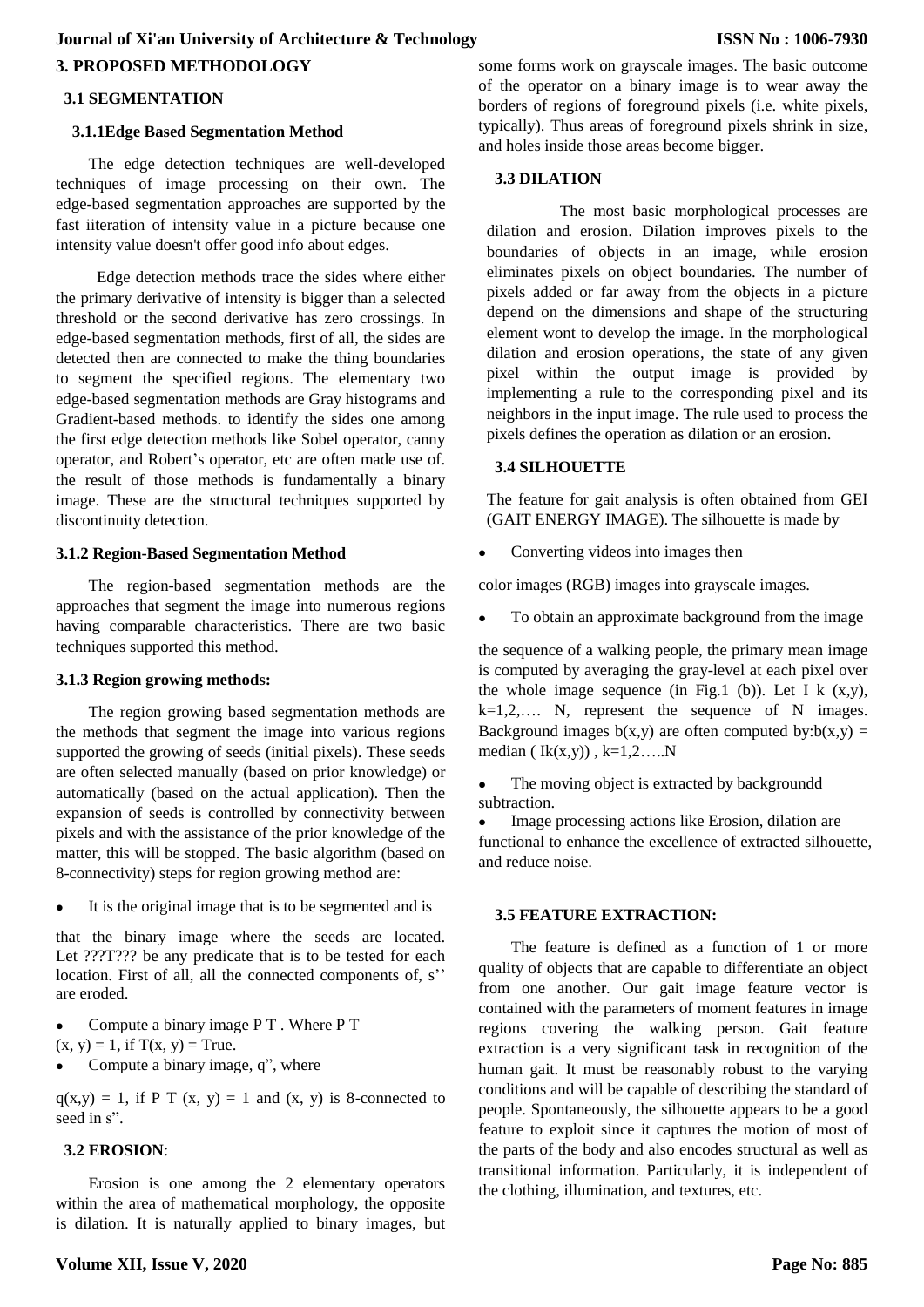# **3. PROPOSED METHODOLOGY Journal of Xi'an University of Architecture & Technology**

#### **3.1 SEGMENTATION**

#### **3.1.1Edge Based Segmentation Method**

The edge detection techniques are well-developed techniques of image processing on their own. The edge-based segmentation approaches are supported by the fast iiteration of intensity value in a picture because one intensity value doesn't offer good info about edges.

Edge detection methods trace the sides where either the primary derivative of intensity is bigger than a selected threshold or the second derivative has zero crossings. In edge-based segmentation methods, first of all, the sides are detected then are connected to make the thing boundaries to segment the specified regions. The elementary two edge-based segmentation methods are Gray histograms and Gradient-based methods. to identify the sides one among the first edge detection methods like Sobel operator, canny operator, and Robert's operator, etc are often made use of. the result of those methods is fundamentally a binary image. These are the structural techniques supported by discontinuity detection.

#### **3.1.2 Region-Based Segmentation Method**

The region-based segmentation methods are the approaches that segment the image into numerous regions having comparable characteristics. There are two basic techniques supported this method.

#### **3.1.3 Region growing methods:**

The region growing based segmentation methods are the methods that segment the image into various regions supported the growing of seeds (initial pixels). These seeds are often selected manually (based on prior knowledge) or automatically (based on the actual application). Then the expansion of seeds is controlled by connectivity between pixels and with the assistance of the prior knowledge of the matter, this will be stopped. The basic algorithm (based on 8-connectivity) steps for region growing method are:

It is the original image that is to be segmented and is

that the binary image where the seeds are located. Let ???T??? be any predicate that is to be tested for each location. First of all, all the connected components of, s'' are eroded.

- Compute a binary image P T . Where P T
- $(x, y) = 1$ , if  $T(x, y) = True$ .
- Compute a binary image, q", where

 $q(x,y) = 1$ , if P T  $(x, y) = 1$  and  $(x, y)$  is 8-connected to seed in s".

# **3.2 EROSION**:

Erosion is one among the 2 elementary operators within the area of mathematical morphology, the opposite is dilation. It is naturally applied to binary images, but some forms work on grayscale images. The basic outcome of the operator on a binary image is to wear away the borders of regions of foreground pixels (i.e. white pixels, typically). Thus areas of foreground pixels shrink in size, and holes inside those areas become bigger.

#### **3.3 DILATION**

The most basic morphological processes are dilation and erosion. Dilation improves pixels to the boundaries of objects in an image, while erosion eliminates pixels on object boundaries. The number of pixels added or far away from the objects in a picture depend on the dimensions and shape of the structuring element wont to develop the image. In the morphological dilation and erosion operations, the state of any given pixel within the output image is provided by implementing a rule to the corresponding pixel and its neighbors in the input image. The rule used to process the pixels defines the operation as dilation or an erosion.

# **3.4 SILHOUETTE**

The feature for gait analysis is often obtained from GEI (GAIT ENERGY IMAGE). The silhouette is made by

Converting videos into images then

color images (RGB) images into grayscale images.

To obtain an approximate background from the image

the sequence of a walking people, the primary mean image is computed by averaging the gray-level at each pixel over the whole image sequence (in Fig.1 (b)). Let I k  $(x,y)$ ,  $k=1,2,...$  N, represent the sequence of N images. Background images  $b(x,y)$  are often computed  $by:b(x,y) =$ median ( $Ik(x,y)$ ),  $k=1,2,...N$ 

 The moving object is extracted by backgroundd subtraction.

 Image processing actions like Erosion, dilation are functional to enhance the excellence of extracted silhouette, and reduce noise.

# **3.5 FEATURE EXTRACTION:**

The feature is defined as a function of 1 or more quality of objects that are capable to differentiate an object from one another. Our gait image feature vector is contained with the parameters of moment features in image regions covering the walking person. Gait feature extraction is a very significant task in recognition of the human gait. It must be reasonably robust to the varying conditions and will be capable of describing the standard of people. Spontaneously, the silhouette appears to be a good feature to exploit since it captures the motion of most of the parts of the body and also encodes structural as well as transitional information. Particularly, it is independent of the clothing, illumination, and textures, etc.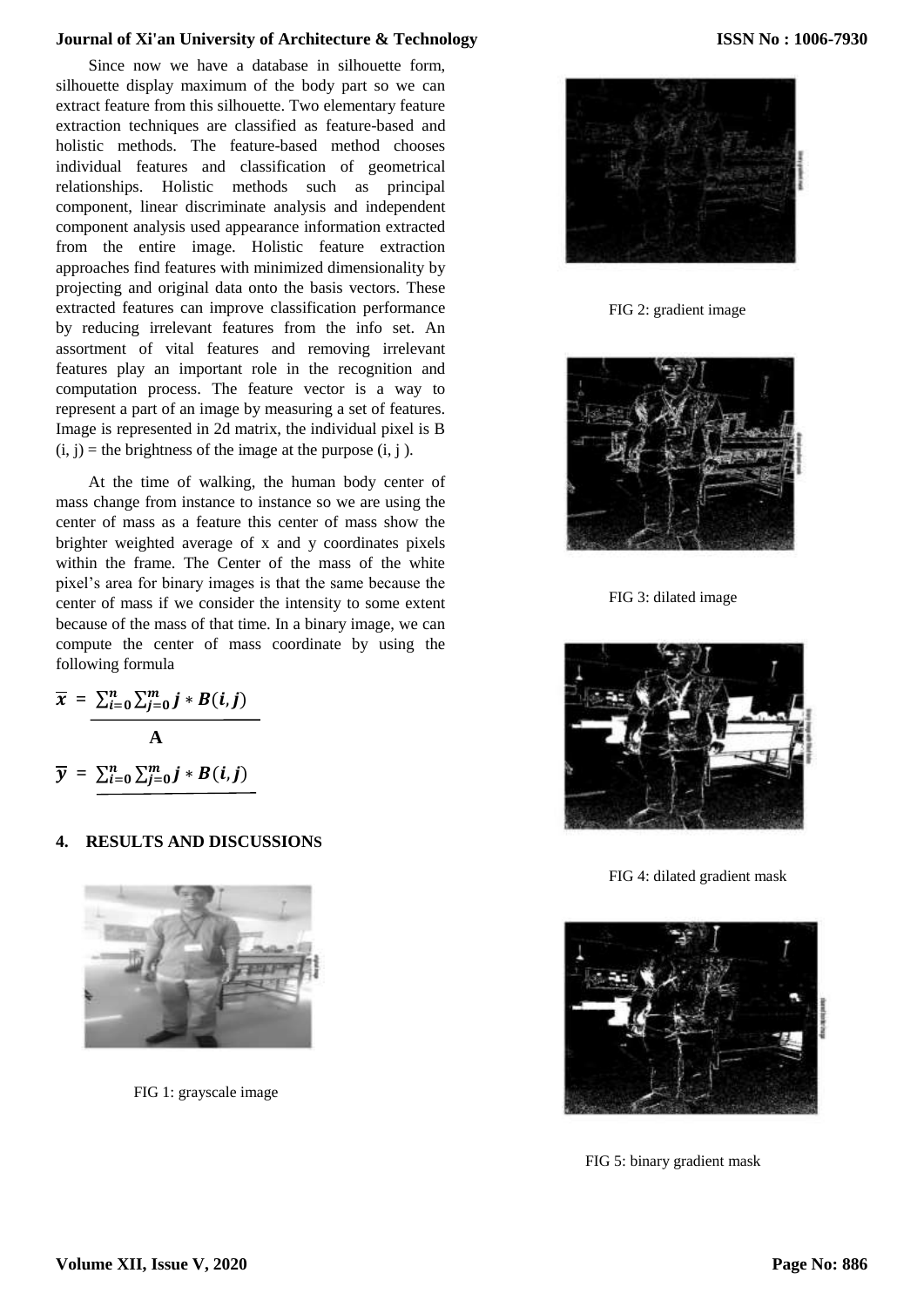#### **Journal of Xi'an University of Architecture & Technology**

Since now we have a database in silhouette form, silhouette display maximum of the body part so we can extract feature from this silhouette. Two elementary feature extraction techniques are classified as feature-based and holistic methods. The feature-based method chooses individual features and classification of geometrical relationships. Holistic methods such as principal component, linear discriminate analysis and independent component analysis used appearance information extracted from the entire image. Holistic feature extraction approaches find features with minimized dimensionality by projecting and original data onto the basis vectors. These extracted features can improve classification performance by reducing irrelevant features from the info set. An assortment of vital features and removing irrelevant features play an important role in the recognition and computation process. The feature vector is a way to represent a part of an image by measuring a set of features. Image is represented in 2d matrix, the individual pixel is B  $(i, j)$  = the brightness of the image at the purpose  $(i, j)$ .

At the time of walking, the human body center of mass change from instance to instance so we are using the center of mass as a feature this center of mass show the brighter weighted average of x and y coordinates pixels within the frame. The Center of the mass of the white pixel's area for binary images is that the same because the center of mass if we consider the intensity to some extent because of the mass of that time. In a binary image, we can compute the center of mass coordinate by using the following formula

$$
\overline{x} = \frac{\sum_{i=0}^{n} \sum_{j=0}^{m} j * B(i, j)}{A}
$$
  

$$
\overline{y} = \sum_{i=0}^{n} \sum_{j=0}^{m} j * B(i, j)
$$

#### **4. RESULTS AND DISCUSSIONS**



FIG 1: grayscale image



FIG 2: gradient image



FIG 3: dilated image



FIG 4: dilated gradient mask



FIG 5: binary gradient mask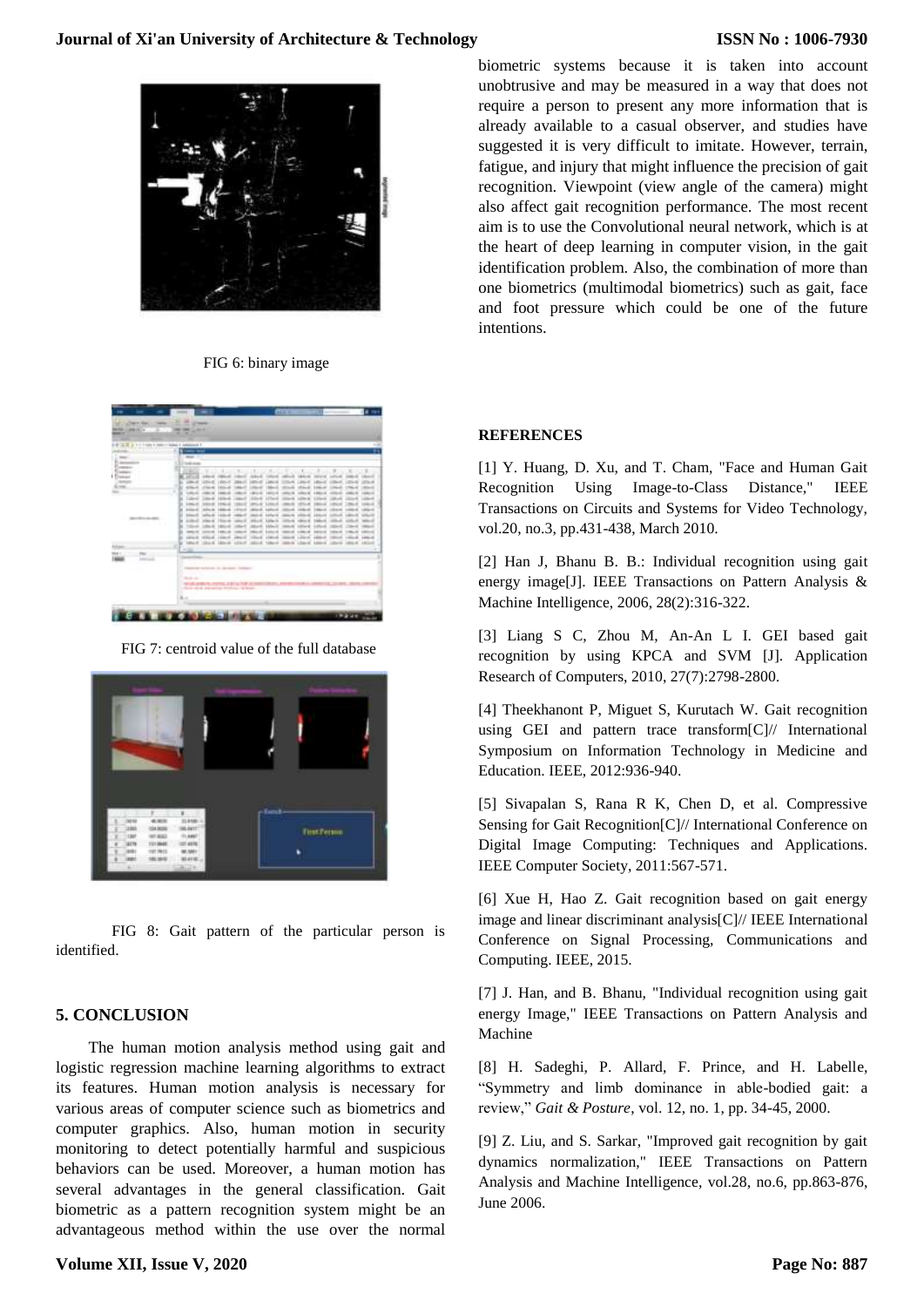

FIG 6: binary image

| ≍≖<br><b>A 1-1100 F/M</b><br><b>The Face</b>         | $-1$<br>-<br>÷<br>в<br>Ŧ.                                     |
|------------------------------------------------------|---------------------------------------------------------------|
| <b>September</b>                                     | --                                                            |
| -                                                    | 13244                                                         |
| <b>STATISTICS</b><br><b>Side Ad</b><br>×<br>---<br>m | ٠<br><b>HELL</b><br>٠<br>$\cdots$<br>Latinum of<br>-<br>1,074 |
|                                                      | <b>Tableto</b><br>۰                                           |
|                                                      |                                                               |
|                                                      | .<br>-<br>m                                                   |
|                                                      | ---                                                           |
|                                                      | the other between the<br><b>SALE</b><br>٠                     |
|                                                      | 1.53                                                          |

FIG 7: centroid value of the full database



FIG 8: Gait pattern of the particular person is identified.

# **5. CONCLUSION**

The human motion analysis method using gait and logistic regression machine learning algorithms to extract its features. Human motion analysis is necessary for various areas of computer science such as biometrics and computer graphics. Also, human motion in security monitoring to detect potentially harmful and suspicious behaviors can be used. Moreover, a human motion has several advantages in the general classification. Gait biometric as a pattern recognition system might be an advantageous method within the use over the normal biometric systems because it is taken into account unobtrusive and may be measured in a way that does not require a person to present any more information that is already available to a casual observer, and studies have suggested it is very difficult to imitate. However, terrain, fatigue, and injury that might influence the precision of gait recognition. Viewpoint (view angle of the camera) might also affect gait recognition performance. The most recent aim is to use the Convolutional neural network, which is at the heart of deep learning in computer vision, in the gait identification problem. Also, the combination of more than one biometrics (multimodal biometrics) such as gait, face and foot pressure which could be one of the future intentions.

#### **REFERENCES**

[1] Y. Huang, D. Xu, and T. Cham, "Face and Human Gait Recognition Using Image-to-Class Distance," IEEE Transactions on Circuits and Systems for Video Technology, vol.20, no.3, pp.431-438, March 2010.

[2] Han J, Bhanu B. B.: Individual recognition using gait energy image[J]. IEEE Transactions on Pattern Analysis & Machine Intelligence, 2006, 28(2):316-322.

[3] Liang S C, Zhou M, An-An L I. GEI based gait recognition by using KPCA and SVM [J]. Application Research of Computers, 2010, 27(7):2798-2800.

[4] Theekhanont P, Miguet S, Kurutach W. Gait recognition using GEI and pattern trace transform[C]// International Symposium on Information Technology in Medicine and Education. IEEE, 2012:936-940.

[5] Sivapalan S, Rana R K, Chen D, et al. Compressive Sensing for Gait Recognition[C]// International Conference on Digital Image Computing: Techniques and Applications. IEEE Computer Society, 2011:567-571.

[6] Xue H, Hao Z. Gait recognition based on gait energy image and linear discriminant analysis[C]// IEEE International Conference on Signal Processing, Communications and Computing. IEEE, 2015.

[7] J. Han, and B. Bhanu, "Individual recognition using gait energy Image," IEEE Transactions on Pattern Analysis and Machine

[8] H. Sadeghi, P. Allard, F. Prince, and H. Labelle, "Symmetry and limb dominance in able-bodied gait: a review," *Gait & Posture*, vol. 12, no. 1, pp. 34-45, 2000.

[9] Z. Liu, and S. Sarkar, "Improved gait recognition by gait dynamics normalization," IEEE Transactions on Pattern Analysis and Machine Intelligence, vol.28, no.6, pp.863-876, June 2006.

# **Volume XII, Issue V, 2020**